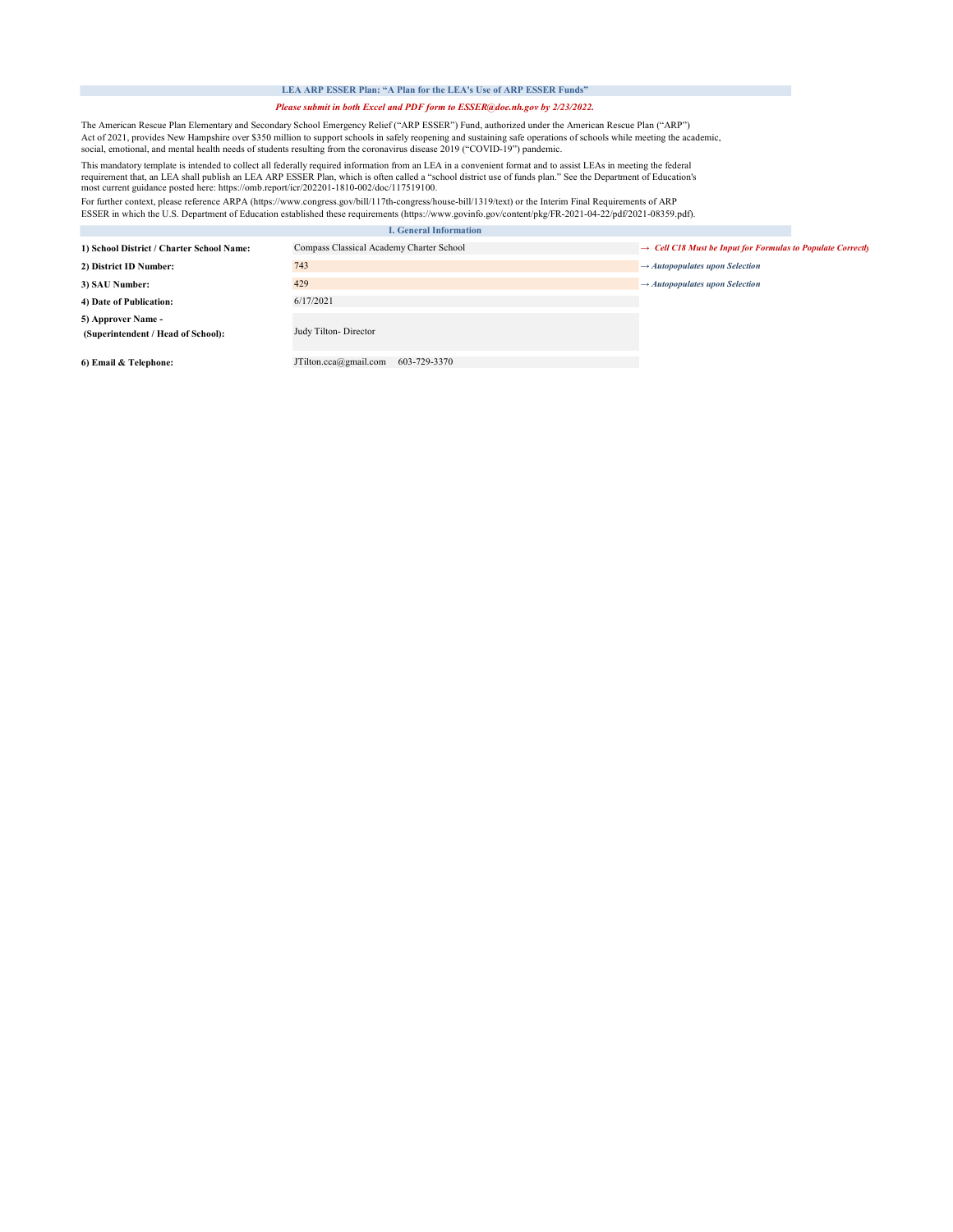#### LEA ARP ESSER Plan: "A Plan for the LEA's Use of ARP ESSER Funds"

#### Please submit in both Excel and PDF form to ESSER@doe.nh.gov by 2/23/2022.

Act of 2021, provides New Hampshire over \$350 million to support schools in safely reopening and sustaining safe operations of schools while meeting the academic,<br>social, emotional, and mental health needs of students resu The American Rescue Plan Elementary and Secondary School Emergency Relief ("ARP ESSER") Fund, authorized under the American Rescue Plan ("ARP")

This mandatory template is intended to collect all federally required information from an LEA in a convenient format and to assist LEAs in meeting the federal<br>requirement that, an LEA shall publish an LEA ARP ESSER Plan, w most current guidance posted here: https://omb.report/icr/202201-1810-002/doc/117519100.

ESSER in which the U.S. Department of Education established these requirements (https://www.govinfo.gov/content/pkg/FR-2021-04-22/pdf/2021-08359.pdf). For further context, please reference ARPA (https://www.congress.gov/bill/117th-congress/house-bill/1319/text) or the Interim Final Requirements of ARP

I. General Information

| 1) School District / Charter School Name:                | Compass Classical Academy Charter School | $\rightarrow$ Cell C18 Must be Input for Formulas to Populate Correctly |
|----------------------------------------------------------|------------------------------------------|-------------------------------------------------------------------------|
| 2) District ID Number:                                   | 743                                      | $\rightarrow$ Autopopulates upon Selection                              |
| 3) SAU Number:                                           | 429                                      | $\rightarrow$ Autopopulates upon Selection                              |
| 4) Date of Publication:                                  | 6/17/2021                                |                                                                         |
| 5) Approver Name -<br>(Superintendent / Head of School): | Judy Tilton-Director                     |                                                                         |
| $\alpha$ m $\alpha$ m $\alpha$                           | ITitan coo@gmail.com<br>602 720 2270     |                                                                         |

6) Email & Telephone:

JTilton.cca@gmail.com 603-729-3370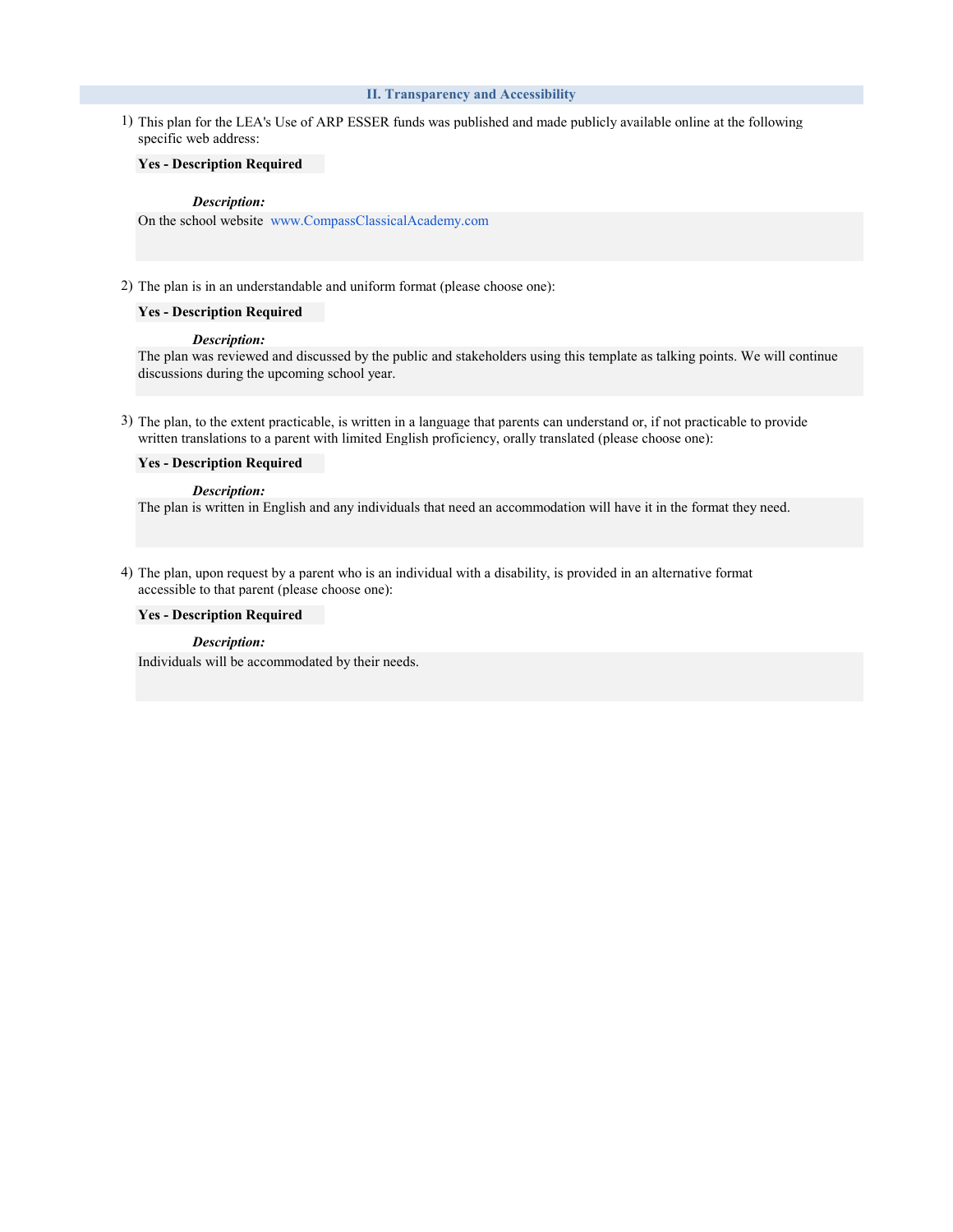## II. Transparency and Accessibility

1) This plan for the LEA's Use of ARP ESSER funds was published and made publicly available online at the following specific web address:

# Yes - Description Required

# Description:

On the school website www.CompassClassicalAcademy.com

2) The plan is in an understandable and uniform format (please choose one):

# Yes - Description Required

# Description:

The plan was reviewed and discussed by the public and stakeholders using this template as talking points. We will continue discussions during the upcoming school year.

3) The plan, to the extent practicable, is written in a language that parents can understand or, if not practicable to provide written translations to a parent with limited English proficiency, orally translated (please choose one):

# Yes - Description Required

### Description:

The plan is written in English and any individuals that need an accommodation will have it in the format they need.

4) The plan, upon request by a parent who is an individual with a disability, is provided in an alternative format accessible to that parent (please choose one):

# Yes - Description Required

# Description:

Individuals will be accommodated by their needs.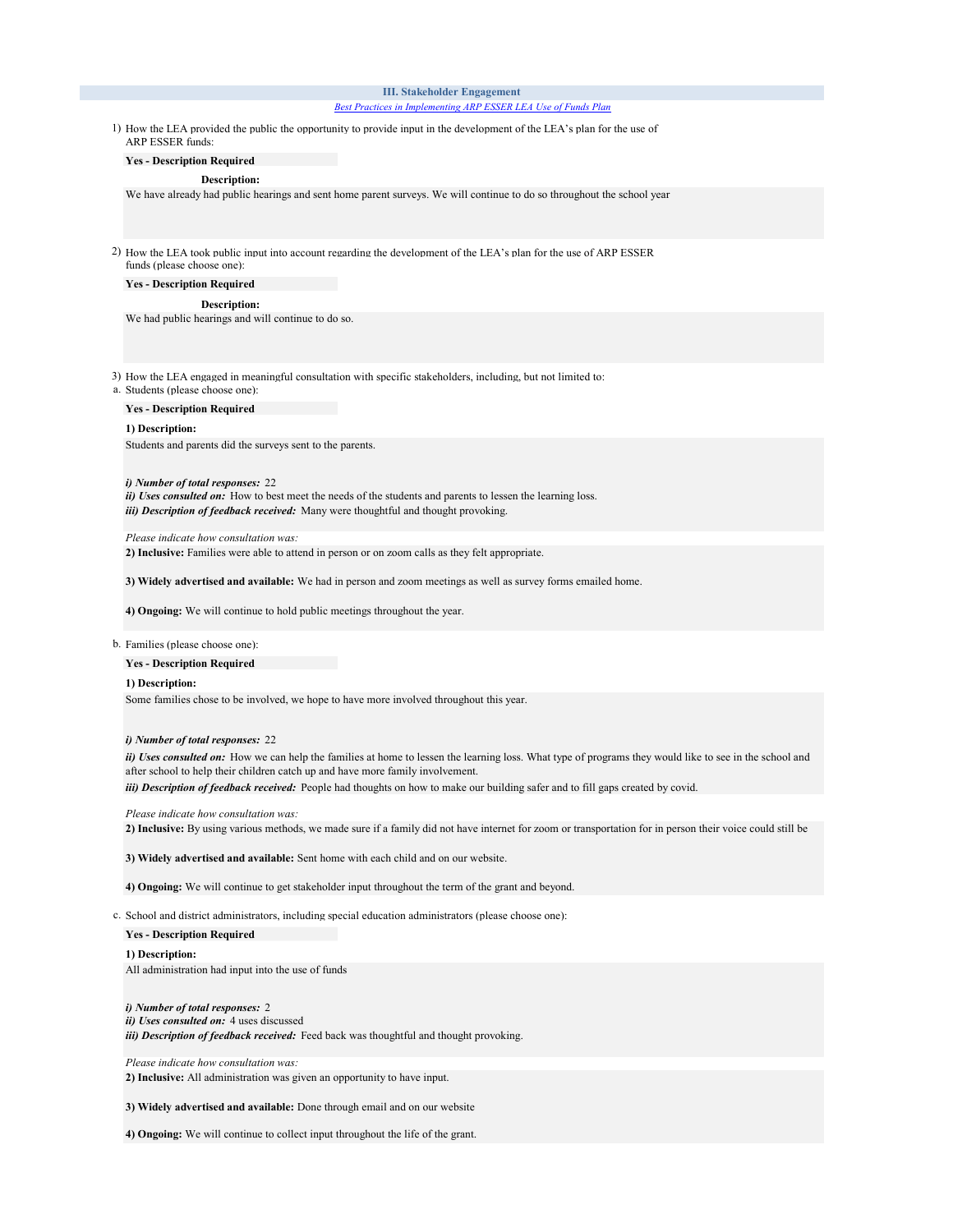### III. Stakeholder Engagement

# Best Practices in Implementing ARP ESSER LEA Use of Funds Plan

1) How the LEA provided the public the opportunity to provide input in the development of the LEA's plan for the use of ARP ESSER funds:

# Yes - Description Required

### Description:

We have already had public hearings and sent home parent surveys. We will continue to do so throughout the school year

2) How the LEA took public input into account regarding the development of the LEA's plan for the use of ARP ESSER funds (please choose one):

### Yes - Description Required

### Description:

We had public hearings and will continue to do so.

3) How the LEA engaged in meaningful consultation with specific stakeholders, including, but not limited to:

# a. Students (please choose one):

Yes - Description Required

#### 1) Description:

Students and parents did the surveys sent to the parents.

#### i) Number of total responses: 22

ii) Uses consulted on: How to best meet the needs of the students and parents to lessen the learning loss. iii) Description of feedback received: Many were thoughtful and thought provoking.

#### Please indicate how consultation was:

2) Inclusive: Families were able to attend in person or on zoom calls as they felt appropriate.

3) Widely advertised and available: We had in person and zoom meetings as well as survey forms emailed home.

4) Ongoing: We will continue to hold public meetings throughout the year.

#### b. Families (please choose one):

Yes - Description Required

#### 1) Description:

Some families chose to be involved, we hope to have more involved throughout this year.

#### i) Number of total responses: 22

ii) Uses consulted on: How we can help the families at home to lessen the learning loss. What type of programs they would like to see in the school and after school to help their children catch up and have more family involvement.

iii) Description of feedback received: People had thoughts on how to make our building safer and to fill gaps created by covid.

Please indicate how consultation was:

2) Inclusive: By using various methods, we made sure if a family did not have internet for zoom or transportation for in person their voice could still be

3) Widely advertised and available: Sent home with each child and on our website.

4) Ongoing: We will continue to get stakeholder input throughout the term of the grant and beyond.

c. School and district administrators, including special education administrators (please choose one):

# Yes - Description Required

### 1) Description:

All administration had input into the use of funds

### i) Number of total responses: 2

ii) Uses consulted on: 4 uses discussed iii) Description of feedback received: Feed back was thoughtful and thought provoking.

Please indicate how consultation was:

2) Inclusive: All administration was given an opportunity to have input.

3) Widely advertised and available: Done through email and on our website

4) Ongoing: We will continue to collect input throughout the life of the grant.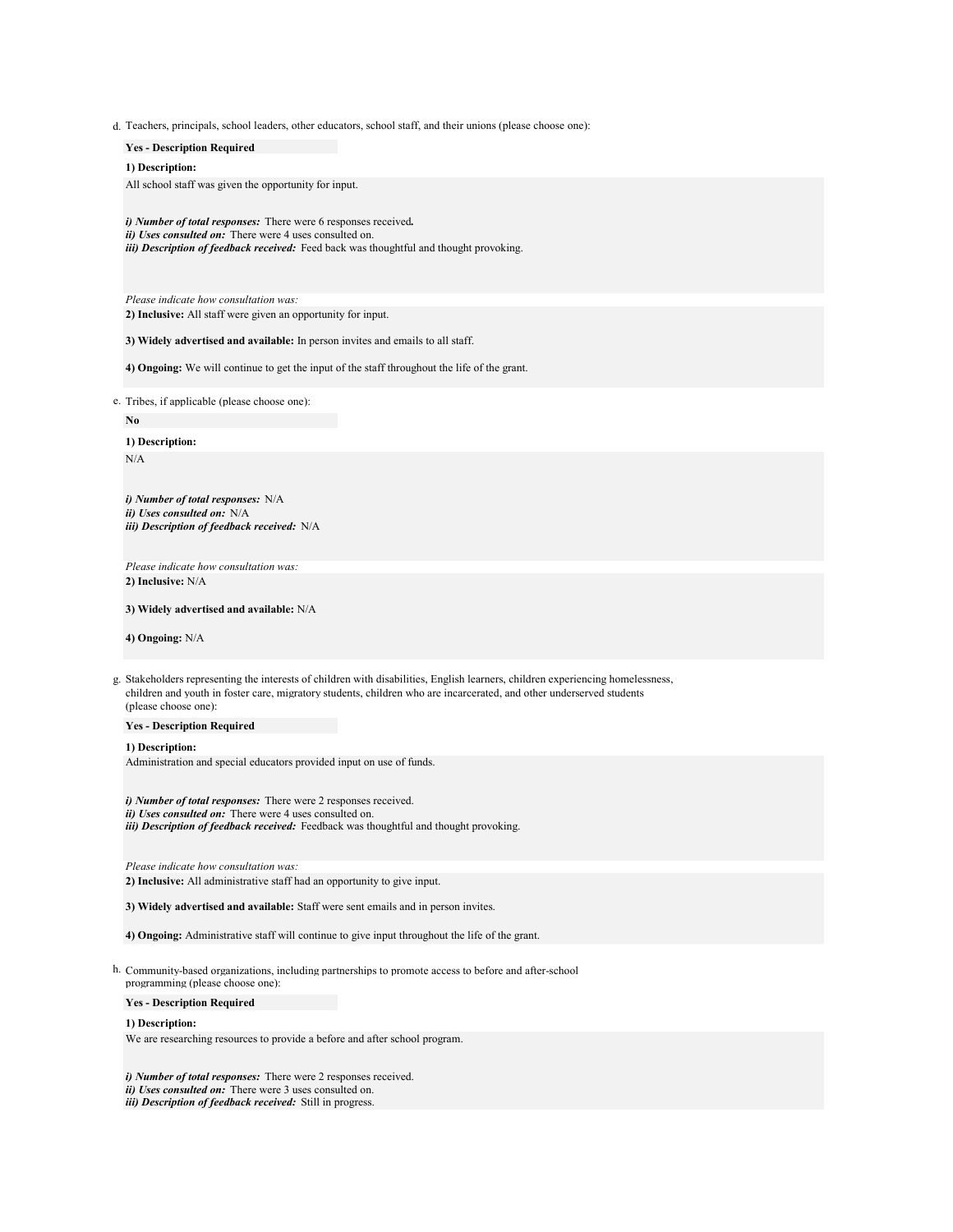d. Teachers, principals, school leaders, other educators, school staff, and their unions (please choose one):

Yes - Description Required

#### 1) Description:

All school staff was given the opportunity for input.

i) Number of total responses: There were 6 responses received.  $i$ ii) Uses consulted on: There were 4 uses consulted on. iii) Description of feedback received: Feed back was thoughtful and thought provoking.

Please indicate how consultation was: 2) Inclusive: All staff were given an opportunity for input.

3) Widely advertised and available: In person invites and emails to all staff.

4) Ongoing: We will continue to get the input of the staff throughout the life of the grant.

e. Tribes, if applicable (please choose one):

No

1) Description:

N/A

i) Number of total responses: N/A ii) Uses consulted on: N/A iii) Description of feedback received: N/A

Please indicate how consultation was: 2) Inclusive: N/A

3) Widely advertised and available: N/A

4) Ongoing: N/A

g. Stakeholders representing the interests of children with disabilities, English learners, children experiencing homelessness, children and youth in foster care, migratory students, children who are incarcerated, and other underserved students (please choose one):

Yes - Description Required

### 1) Description:

Administration and special educators provided input on use of funds.

i) Number of total responses: There were 2 responses received. ii) Uses consulted on: There were 4 uses consulted on. iii) Description of feedback received: Feedback was thoughtful and thought provoking.

Please indicate how consultation was: 2) Inclusive: All administrative staff had an opportunity to give input.

3) Widely advertised and available: Staff were sent emails and in person invites.

4) Ongoing: Administrative staff will continue to give input throughout the life of the grant.

h. Community-based organizations, including partnerships to promote access to before and after-school programming (please choose one):

### Yes - Description Required

### 1) Description:

We are researching resources to provide a before and after school program.

i) Number of total responses: There were 2 responses received. ii) Uses consulted on: There were 3 uses consulted on. iii) Description of feedback received: Still in progress.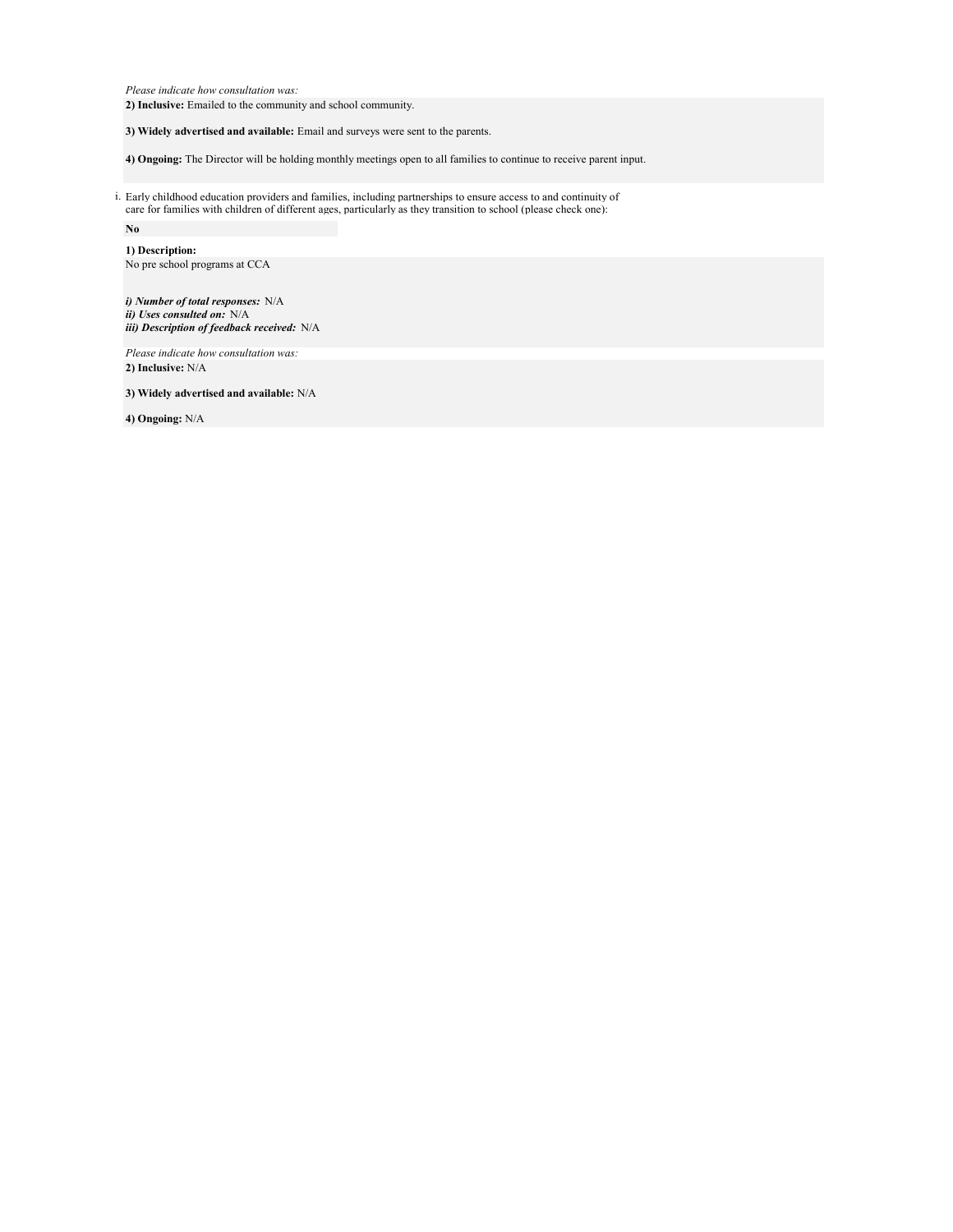Please indicate how consultation was: 2) Inclusive: Emailed to the community and school community.

3) Widely advertised and available: Email and surveys were sent to the parents.

4) Ongoing: The Director will be holding monthly meetings open to all families to continue to receive parent input.

i. Early childhood education providers and families, including partnerships to ensure access to and continuity of care for families with children of different ages, particularly as they transition to school (please check one):

No

1) Description: No pre school programs at CCA

i) Number of total responses: N/A ii) Uses consulted on: N/A iii) Description of feedback received: N/A

2) Inclusive: N/A Please indicate how consultation was:

3) Widely advertised and available: N/A

4) Ongoing: N/A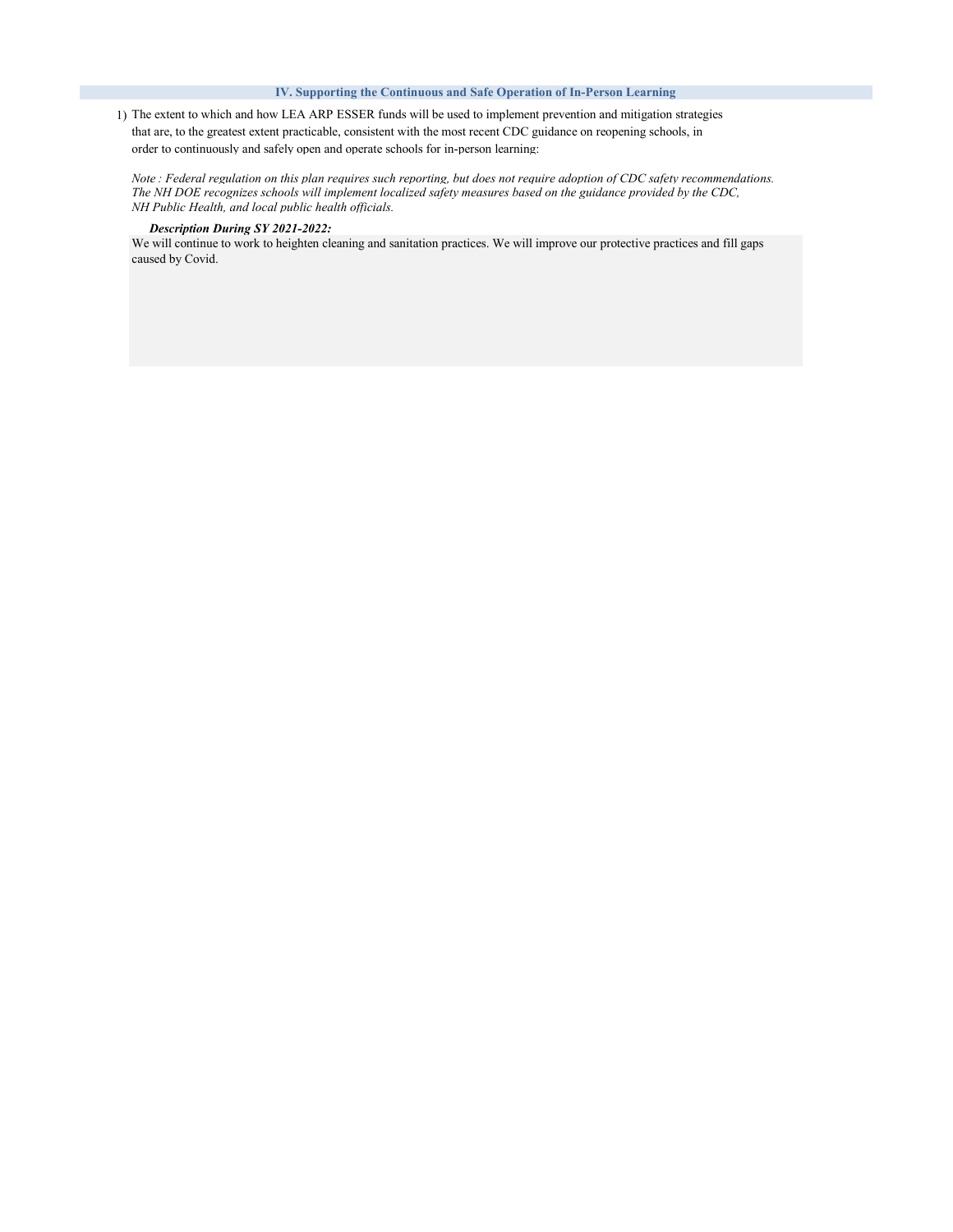# IV. Supporting the Continuous and Safe Operation of In-Person Learning

1) The extent to which and how LEA ARP ESSER funds will be used to implement prevention and mitigation strategies that are, to the greatest extent practicable, consistent with the most recent CDC guidance on reopening schools, in order to continuously and safely open and operate schools for in-person learning:

Note : Federal regulation on this plan requires such reporting, but does not require adoption of CDC safety recommendations. The NH DOE recognizes schools will implement localized safety measures based on the guidance provided by the CDC, NH Public Health, and local public health officials.

### Description During SY 2021-2022:

We will continue to work to heighten cleaning and sanitation practices. We will improve our protective practices and fill gaps caused by Covid.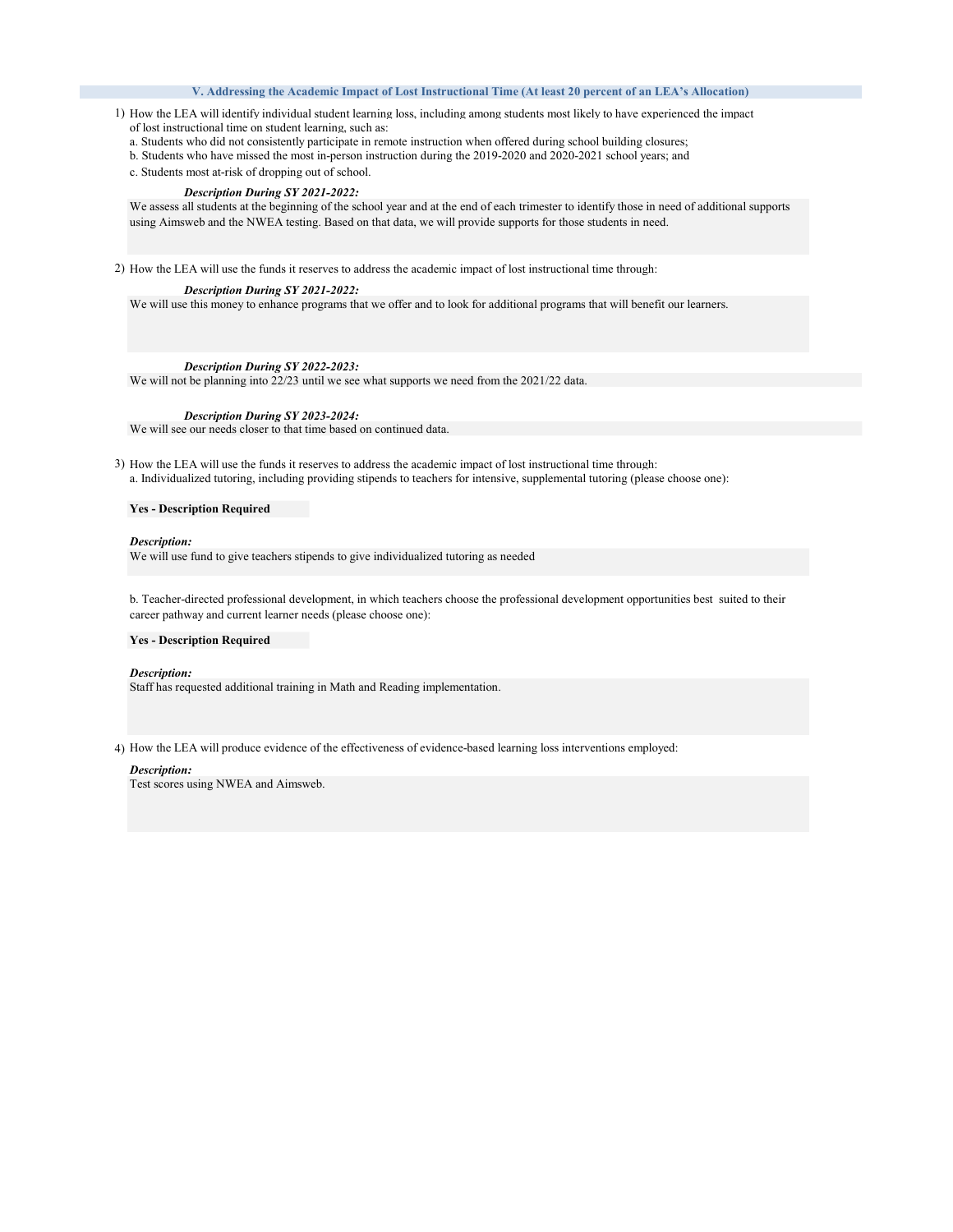### V. Addressing the Academic Impact of Lost Instructional Time (At least 20 percent of an LEA's Allocation)

- 1) How the LEA will identify individual student learning loss, including among students most likely to have experienced the impact of lost instructional time on student learning, such as:
	- a. Students who did not consistently participate in remote instruction when offered during school building closures;
	- b. Students who have missed the most in-person instruction during the 2019-2020 and 2020-2021 school years; and
	- c. Students most at-risk of dropping out of school.

### Description During SY 2021-2022:

We assess all students at the beginning of the school year and at the end of each trimester to identify those in need of additional supports using Aimsweb and the NWEA testing. Based on that data, we will provide supports for those students in need.

2) How the LEA will use the funds it reserves to address the academic impact of lost instructional time through:

### Description During SY 2021-2022:

We will use this money to enhance programs that we offer and to look for additional programs that will benefit our learners.

### Description During SY 2022-2023:

We will not be planning into 22/23 until we see what supports we need from the 2021/22 data.

### Description During SY 2023-2024:

We will see our needs closer to that time based on continued data.

3) How the LEA will use the funds it reserves to address the academic impact of lost instructional time through: a. Individualized tutoring, including providing stipends to teachers for intensive, supplemental tutoring (please choose one):

### Yes - Description Required

#### Description:

We will use fund to give teachers stipends to give individualized tutoring as needed

b. Teacher-directed professional development, in which teachers choose the professional development opportunities best suited to their career pathway and current learner needs (please choose one):

### Yes - Description Required

#### Description:

Staff has requested additional training in Math and Reading implementation.

4) How the LEA will produce evidence of the effectiveness of evidence-based learning loss interventions employed:

### Description:

Test scores using NWEA and Aimsweb.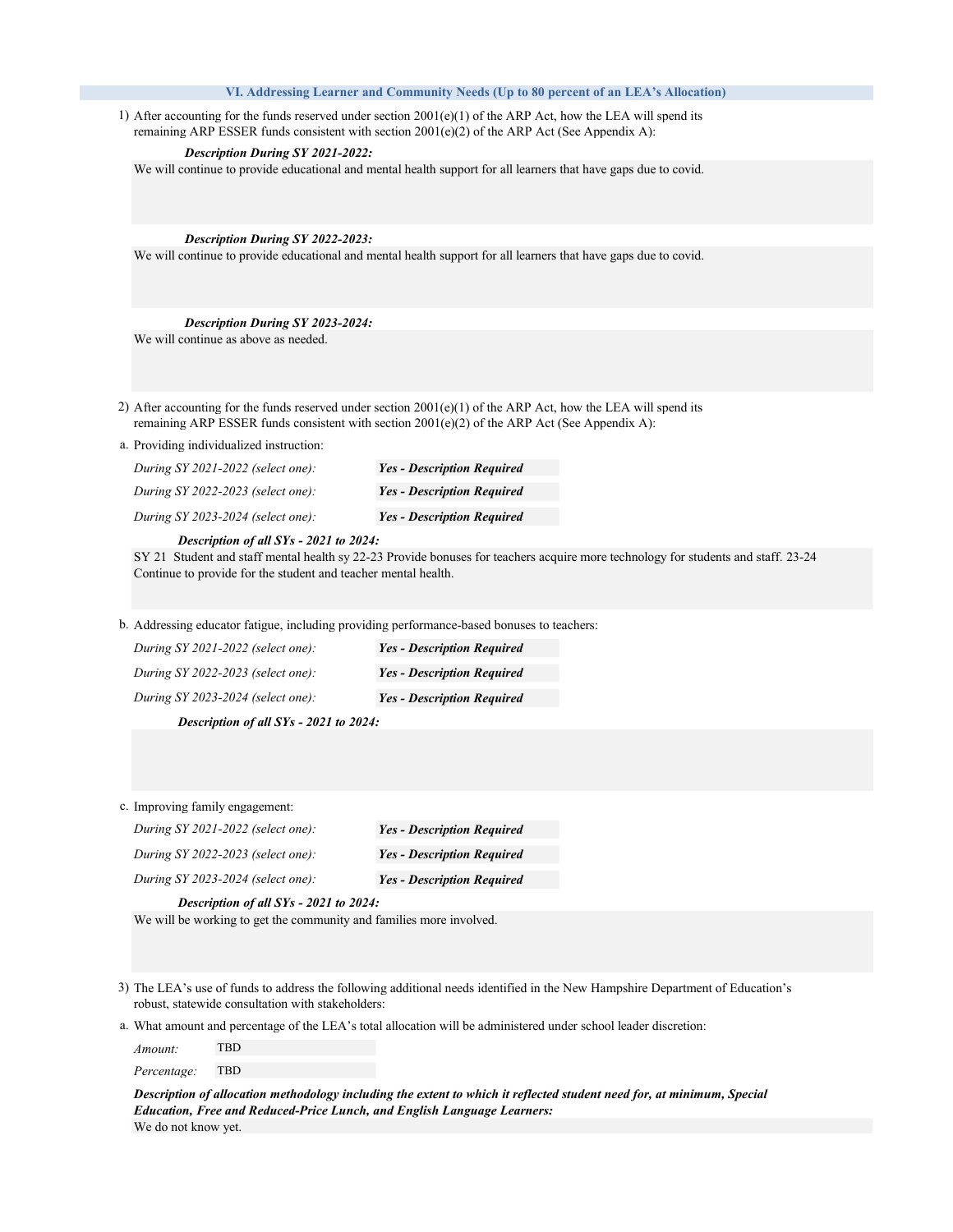## VI. Addressing Learner and Community Needs (Up to 80 percent of an LEA's Allocation)

1) After accounting for the funds reserved under section 2001(e)(1) of the ARP Act, how the LEA will spend its remaining ARP ESSER funds consistent with section  $2001(e)(2)$  of the ARP Act (See Appendix A):

Description During SY 2021-2022:

We will continue to provide educational and mental health support for all learners that have gaps due to covid.

Description During SY 2022-2023:

We will continue to provide educational and mental health support for all learners that have gaps due to covid.

Description During SY 2023-2024: We will continue as above as needed.

2) After accounting for the funds reserved under section 2001(e)(1) of the ARP Act, how the LEA will spend its remaining ARP ESSER funds consistent with section  $2001(e)(2)$  of the ARP Act (See Appendix A):

a. Providing individualized instruction:

| During $SY 2021-2022$ (select one): | <b>Yes - Description Required</b> |
|-------------------------------------|-----------------------------------|
| During SY 2022-2023 (select one):   | <b>Yes - Description Required</b> |
| During SY 2023-2024 (select one):   | <b>Yes - Description Required</b> |

### Description of all SYs - 2021 to 2024:

SY 21 Student and staff mental health sy 22-23 Provide bonuses for teachers acquire more technology for students and staff. 23-24 Continue to provide for the student and teacher mental health.

b. Addressing educator fatigue, including providing performance-based bonuses to teachers:

| Description of all SYs - 2021 to 2024: |                                   |  |  |  |  |  |
|----------------------------------------|-----------------------------------|--|--|--|--|--|
| During SY 2023-2024 (select one):      | <b>Yes - Description Required</b> |  |  |  |  |  |
| During SY 2022-2023 (select one):      | <b>Yes - Description Required</b> |  |  |  |  |  |
| During $SY 2021-2022$ (select one):    | <b>Yes - Description Required</b> |  |  |  |  |  |

|  | c. Improving family engagement: |  |
|--|---------------------------------|--|
|  |                                 |  |

| During $SY 2021-2022$ (select one): | <b>Yes - Description Required</b> |  |  |  |  |  |  |
|-------------------------------------|-----------------------------------|--|--|--|--|--|--|
| During SY 2022-2023 (select one):   | <b>Yes - Description Required</b> |  |  |  |  |  |  |
| During SY 2023-2024 (select one):   | <b>Yes - Description Required</b> |  |  |  |  |  |  |

Description of all SYs - 2021 to 2024:

We will be working to get the community and families more involved.

3) The LEA's use of funds to address the following additional needs identified in the New Hampshire Department of Education's robust, statewide consultation with stakeholders:

a. What amount and percentage of the LEA's total allocation will be administered under school leader discretion:

Amount: TBD

Percentage: TBD

Description of allocation methodology including the extent to which it reflected student need for, at minimum, Special Education, Free and Reduced-Price Lunch, and English Language Learners: We do not know yet.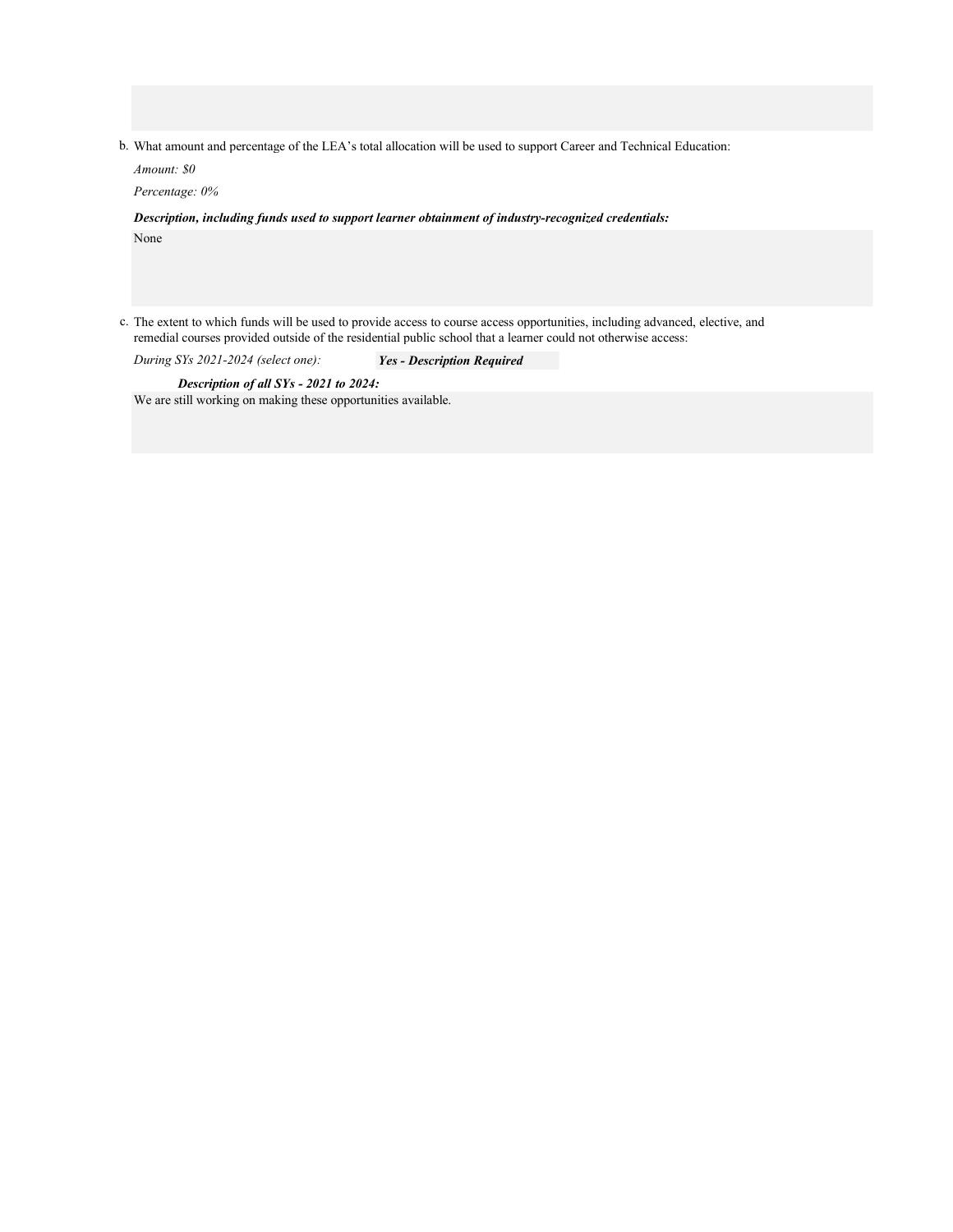b. What amount and percentage of the LEA's total allocation will be used to support Career and Technical Education:

Amount: \$0

Percentage: 0%

Description, including funds used to support learner obtainment of industry-recognized credentials: None

c. The extent to which funds will be used to provide access to course access opportunities, including advanced, elective, and remedial courses provided outside of the residential public school that a learner could not otherwise access:

During SYs 2021-2024 (select one): Yes - Description Required

We are still working on making these opportunities available. Description of all SYs - 2021 to 2024: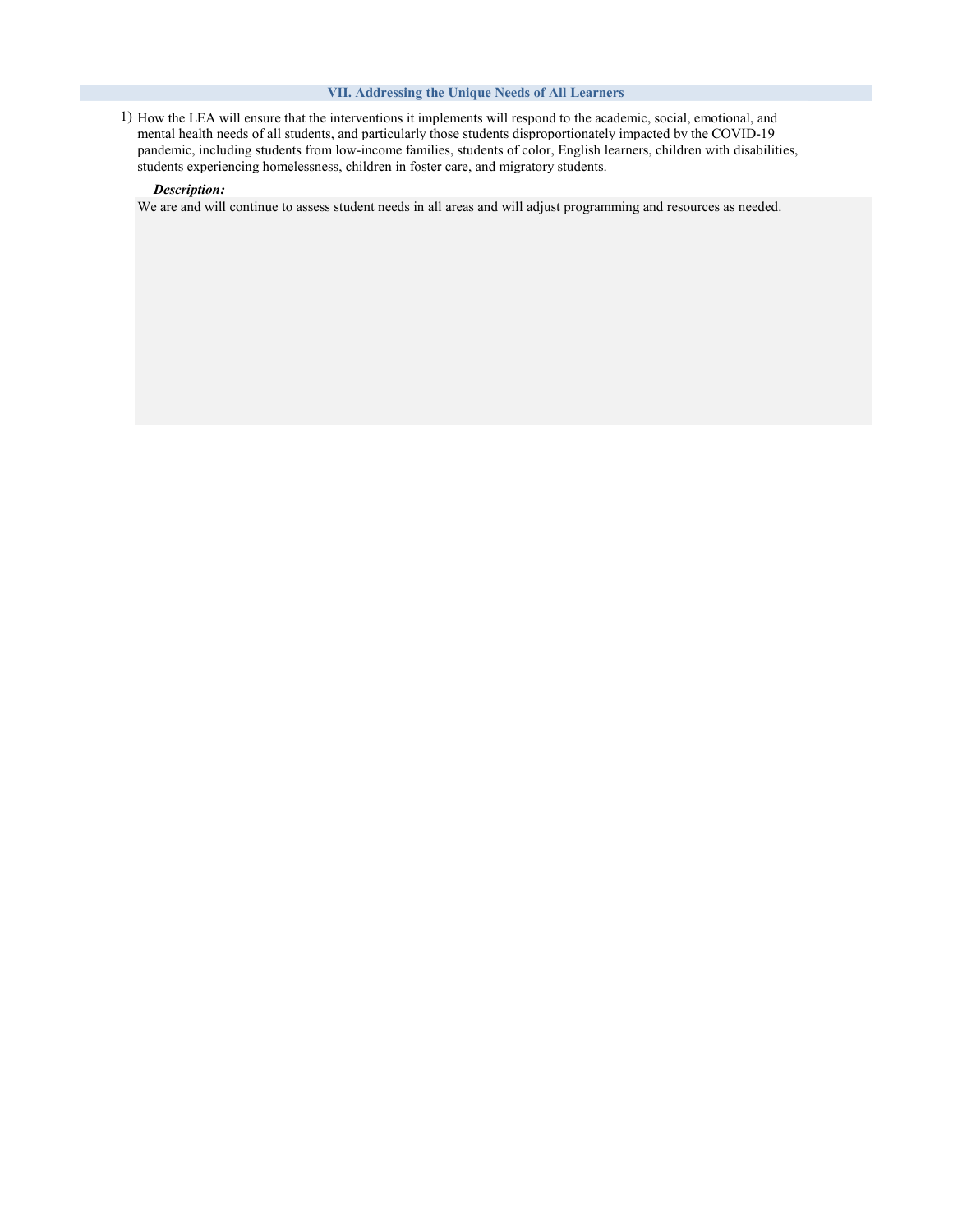# VII. Addressing the Unique Needs of All Learners

1) How the LEA will ensure that the interventions it implements will respond to the academic, social, emotional, and mental health needs of all students, and particularly those students disproportionately impacted by the COVID-19 pandemic, including students from low-income families, students of color, English learners, children with disabilities, students experiencing homelessness, children in foster care, and migratory students.

# Description:

We are and will continue to assess student needs in all areas and will adjust programming and resources as needed.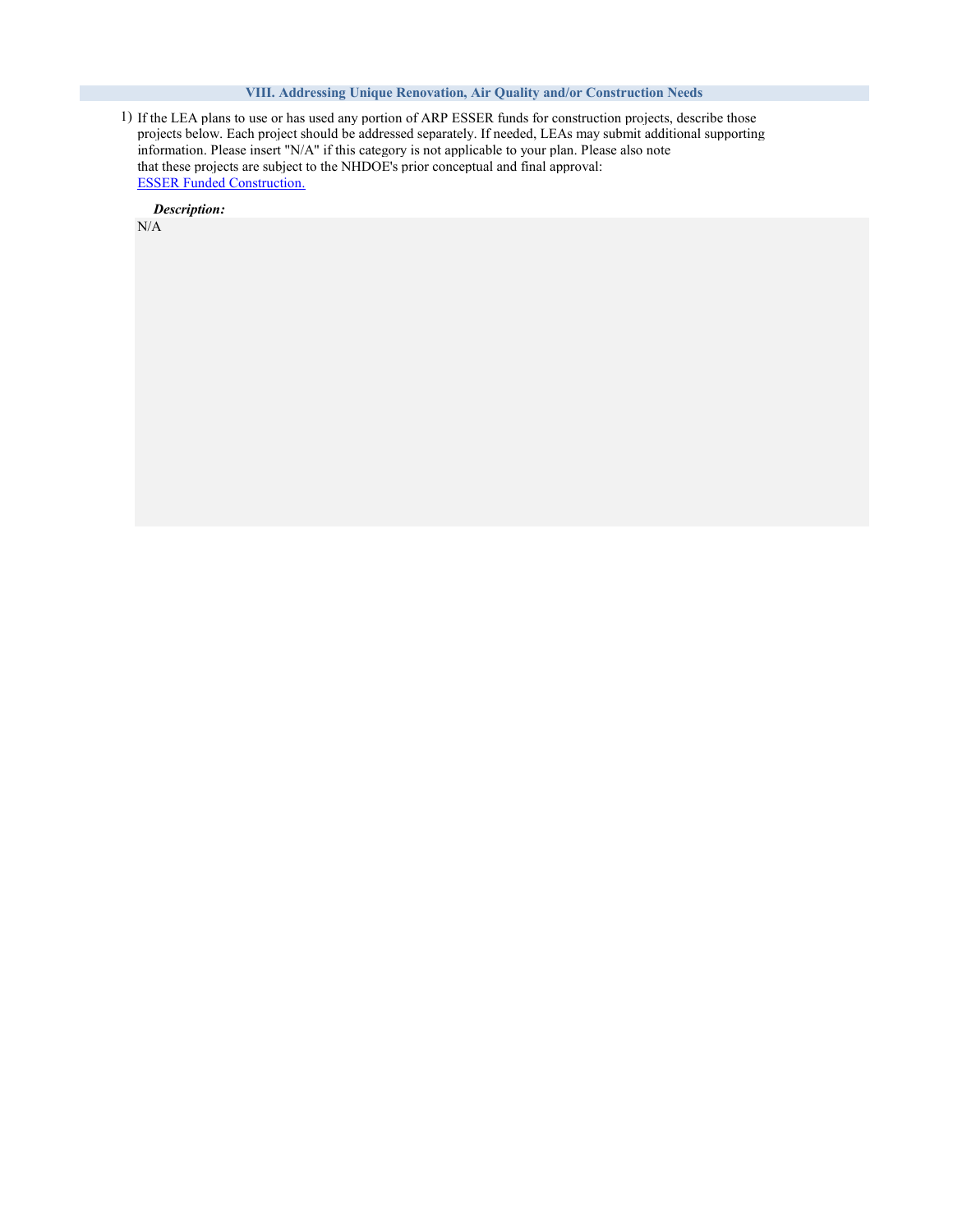# VIII. Addressing Unique Renovation, Air Quality and/or Construction Needs

1) If the LEA plans to use or has used any portion of ARP ESSER funds for construction projects, describe those projects below. Each project should be addressed separately. If needed, LEAs may submit additional supporting information. Please insert "N/A" if this category is not applicable to your plan. Please also note that these projects are subject to the NHDOE's prior conceptual and final approval: ESSER Funded Construction.

Description:

N/A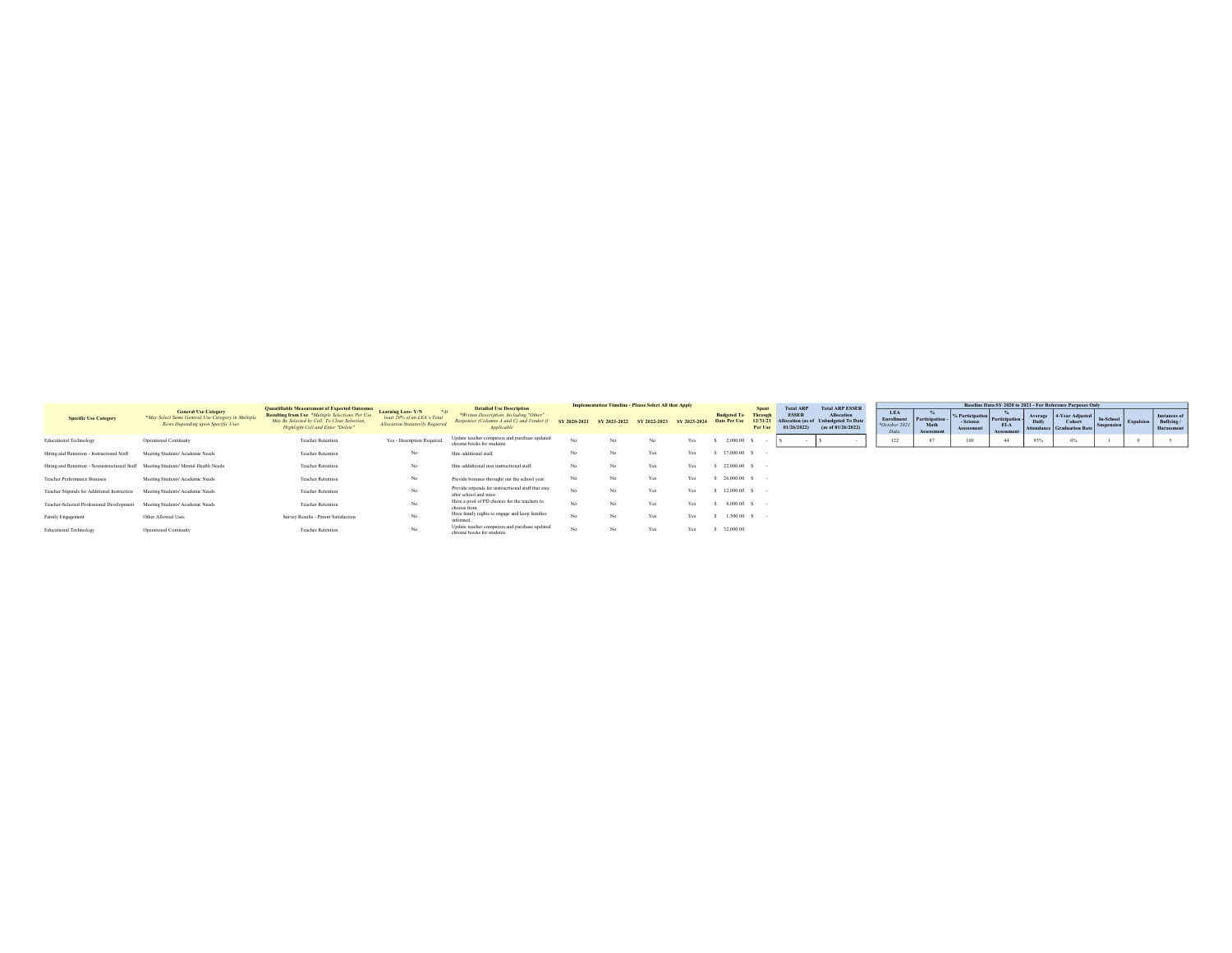|                                                                                     |                                                                                                                       | Quantifiable Measurement of Expected Outcomes                                                                                        |                                                                                                    | <b>Detailed Use Description</b>                                                                    |              | <b>Implementation Timeline - Please Select All that Apply</b> |              |              |                                            | Spent           | <b>Total ARP</b>            | <b>Total ARP ESSER</b>                                                   | Baseline Data SY 2020 to 2021 - For Reference Purposes Only |                                       |                                            |                                          |              |                                                                           |           |                  |                                         |
|-------------------------------------------------------------------------------------|-----------------------------------------------------------------------------------------------------------------------|--------------------------------------------------------------------------------------------------------------------------------------|----------------------------------------------------------------------------------------------------|----------------------------------------------------------------------------------------------------|--------------|---------------------------------------------------------------|--------------|--------------|--------------------------------------------|-----------------|-----------------------------|--------------------------------------------------------------------------|-------------------------------------------------------------|---------------------------------------|--------------------------------------------|------------------------------------------|--------------|---------------------------------------------------------------------------|-----------|------------------|-----------------------------------------|
| <b>Specific Use Category</b>                                                        | <b>General Use Category</b><br>*May Select Same General Use Category in Multiple<br>Rows Depending upon Specific Uses | Resulting from Use *Multiple Selections Per Use<br>May Be Selected by Cell; To Clear Selection.<br>Highlight Cell and Enter "Delete" | Learning Loss-Y/N<br>8.44<br>least 20% of an LEA's Total<br><b>Allocation Statutorily Required</b> | *Written Description, Including "Other"<br>Responses (Columns A and C) and Vendor if<br>Applicable | SV 2020-2021 | SY 2021-2022                                                  | SY 2022-2023 | SY 2023-2024 | <b>Budgeted To</b> Through<br>Date Per Use | Per Use         | <b>ESSER</b><br>01/26/2022) | Allocation<br>Allocation (as of Unbudgeted To Date<br>(as of 01/26/2022) | <b>LEA</b><br>Enrollment<br>*October 2021<br>Data           | Participation -<br>Math<br>Assessment | % Participation<br>- Science<br>Assessment | Participatio<br><b>ELA</b><br>Assessment | <b>Daily</b> | Average 4-Year Adjusted In-School<br>Cohort<br>Attendance Graduation Rate | Suspensio | <b>Expulsion</b> | Instances of<br>Bullying/<br>Harassment |
| Educational Technology                                                              | <b>Operational Continuity</b>                                                                                         | <b>Teacher Retention</b>                                                                                                             | Yes - Description Required                                                                         | Update teacher computers and purchase updated<br>chrome books for students.                        |              | No                                                            | No           | Yes          | 2,000.00                                   |                 |                             |                                                                          | 122                                                         |                                       | 100                                        |                                          | 95%          | $0\%$                                                                     |           |                  |                                         |
| Hiring and Retention - Instructional Staff                                          | Meeting Students' Academic Needs                                                                                      | <b>Teacher Retention</b>                                                                                                             | No                                                                                                 | Hire additional staff.                                                                             | No.          | No                                                            | Yes          | Yes          | $17,000.00$ S -                            |                 |                             |                                                                          |                                                             |                                       |                                            |                                          |              |                                                                           |           |                  |                                         |
| Hiring and Retention - Noninstructional Staff Meeting Students' Mental Health Needs |                                                                                                                       | <b>Teacher Retention</b>                                                                                                             | No                                                                                                 | Hire addidtional non instructional staff.                                                          | No           | No                                                            | Yes          | Yes          | 22,000.00 \$ -                             |                 |                             |                                                                          |                                                             |                                       |                                            |                                          |              |                                                                           |           |                  |                                         |
| Teacher Performance Bonuses                                                         | Meeting Students' Academic Needs                                                                                      | <b>Teacher Retention</b>                                                                                                             | No                                                                                                 | Provide bonuses throught out the school year.                                                      |              | No                                                            | Yes          | Yes          | 26,000.00 \$ -                             |                 |                             |                                                                          |                                                             |                                       |                                            |                                          |              |                                                                           |           |                  |                                         |
| Teacher Stipends for Additional Instruction Meeting Students' Academic Needs        |                                                                                                                       | <b>Teacher Retention</b>                                                                                                             | No                                                                                                 | Provide sripends for instrucrtional staff that stay<br>after school and tutor.                     |              | No                                                            | Yes          | Yes          |                                            | $12.000.00 S$ - |                             |                                                                          |                                                             |                                       |                                            |                                          |              |                                                                           |           |                  |                                         |
| Teacher-Selected Professional Development                                           | Meeting Students' Academic Needs                                                                                      | <b>Teacher Retention</b>                                                                                                             | No                                                                                                 | Have a pool of PD choices for the teachers to<br>choose from.                                      |              | No                                                            | Yes          | Yes          | 8,000.00 S -                               |                 |                             |                                                                          |                                                             |                                       |                                            |                                          |              |                                                                           |           |                  |                                         |
| Family Engagement                                                                   | Other Allowed Uses                                                                                                    | Survey Results - Parent Satisfaction                                                                                                 | No                                                                                                 | Have family nights to engage and keep families<br>informed.                                        |              | No                                                            | Yes          | Yes          |                                            | $1,500.00$ \$ - |                             |                                                                          |                                                             |                                       |                                            |                                          |              |                                                                           |           |                  |                                         |
| <b>Educational Technology</b>                                                       | <b>Operational Continuity</b>                                                                                         | <b>Teacher Retention</b>                                                                                                             | No                                                                                                 | Update teacher computers and purchase updated<br>chrome books for students.                        |              | No                                                            | Yes          | Yes          | 32,000.00                                  |                 |                             |                                                                          |                                                             |                                       |                                            |                                          |              |                                                                           |           |                  |                                         |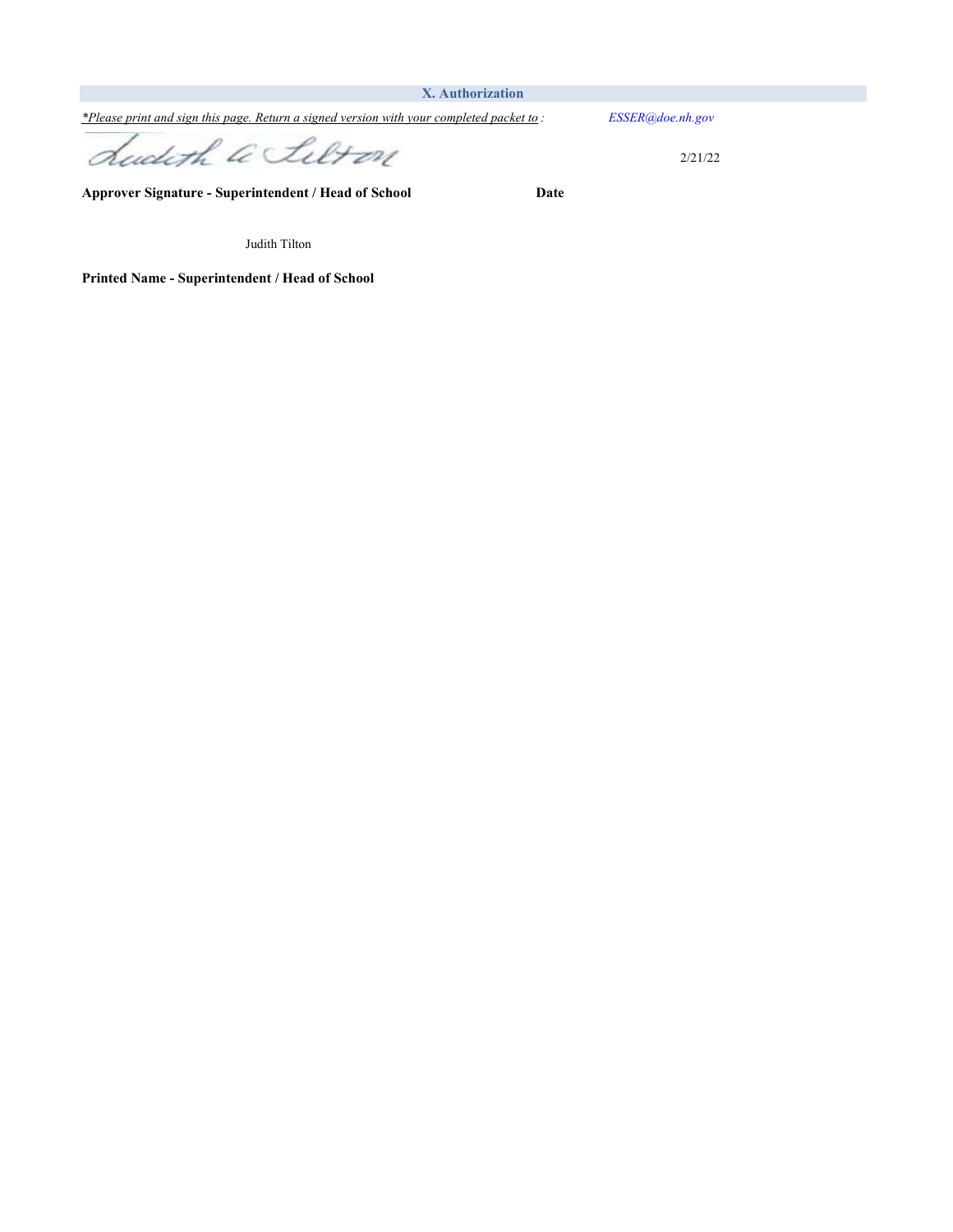# X. Authorization

\*Please print and sign this page. Return a signed version with your completed packet to : ESSER@doe.nh.gov

2/21/22

dudith a Libron

Approver Signature - Superintendent / Head of School Date

Judith Tilton

Printed Name - Superintendent / Head of School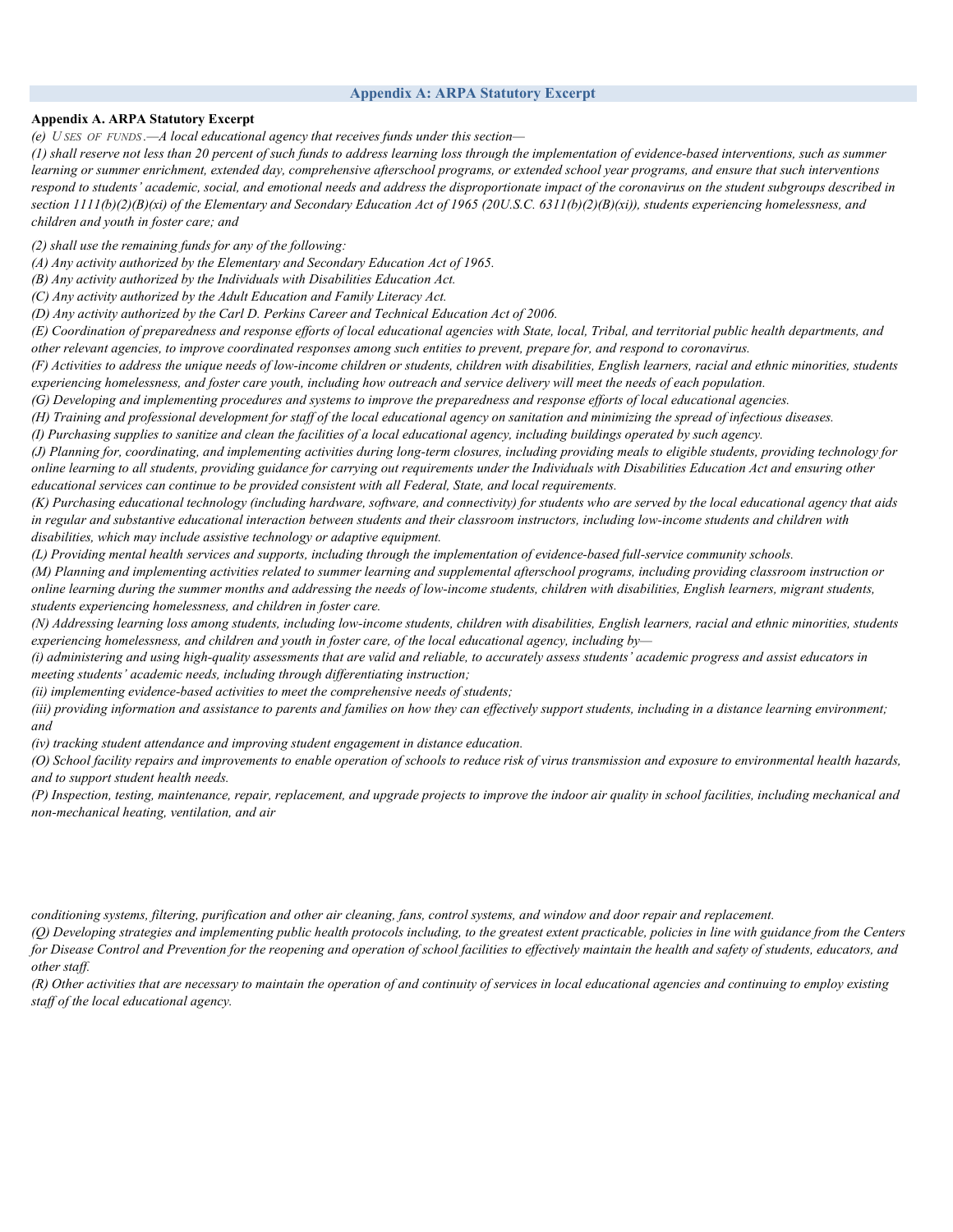# Appendix A: ARPA Statutory Excerpt

# Appendix A. ARPA Statutory Excerpt

(e) U SES OF FUNDS .—A local educational agency that receives funds under this section—

(1) shall reserve not less than 20 percent of such funds to address learning loss through the implementation of evidence-based interventions, such as summer learning or summer enrichment, extended day, comprehensive afterschool programs, or extended school year programs, and ensure that such interventions respond to students' academic, social, and emotional needs and address the disproportionate impact of the coronavirus on the student subgroups described in section  $111(b)(2)(B)(xi)$  of the Elementary and Secondary Education Act of 1965 (20U.S.C. 6311(b)(2)(B)(xi)), students experiencing homelessness, and children and youth in foster care; and

(2) shall use the remaining funds for any of the following:

(A) Any activity authorized by the Elementary and Secondary Education Act of 1965.

(B) Any activity authorized by the Individuals with Disabilities Education Act.

(C) Any activity authorized by the Adult Education and Family Literacy Act.

(D) Any activity authorized by the Carl D. Perkins Career and Technical Education Act of 2006.

(E) Coordination of preparedness and response efforts of local educational agencies with State, local, Tribal, and territorial public health departments, and other relevant agencies, to improve coordinated responses among such entities to prevent, prepare for, and respond to coronavirus.

(F) Activities to address the unique needs of low-income children or students, children with disabilities, English learners, racial and ethnic minorities, students experiencing homelessness, and foster care youth, including how outreach and service delivery will meet the needs of each population.

(G) Developing and implementing procedures and systems to improve the preparedness and response efforts of local educational agencies.

(H) Training and professional development for staff of the local educational agency on sanitation and minimizing the spread of infectious diseases.

(I) Purchasing supplies to sanitize and clean the facilities of a local educational agency, including buildings operated by such agency.

(J) Planning for, coordinating, and implementing activities during long-term closures, including providing meals to eligible students, providing technology for online learning to all students, providing guidance for carrying out requirements under the Individuals with Disabilities Education Act and ensuring other educational services can continue to be provided consistent with all Federal, State, and local requirements.

(K) Purchasing educational technology (including hardware, software, and connectivity) for students who are served by the local educational agency that aids in regular and substantive educational interaction between students and their classroom instructors, including low-income students and children with disabilities, which may include assistive technology or adaptive equipment.

(L) Providing mental health services and supports, including through the implementation of evidence-based full-service community schools.

(M) Planning and implementing activities related to summer learning and supplemental afterschool programs, including providing classroom instruction or online learning during the summer months and addressing the needs of low-income students, children with disabilities, English learners, migrant students, students experiencing homelessness, and children in foster care.

(N) Addressing learning loss among students, including low-income students, children with disabilities, English learners, racial and ethnic minorities, students experiencing homelessness, and children and youth in foster care, of the local educational agency, including by-

(i) administering and using high-quality assessments that are valid and reliable, to accurately assess students' academic progress and assist educators in meeting students' academic needs, including through differentiating instruction;

(ii) implementing evidence-based activities to meet the comprehensive needs of students;

(iii) providing information and assistance to parents and families on how they can effectively support students, including in a distance learning environment; and

(iv) tracking student attendance and improving student engagement in distance education.

(O) School facility repairs and improvements to enable operation of schools to reduce risk of virus transmission and exposure to environmental health hazards, and to support student health needs.

(P) Inspection, testing, maintenance, repair, replacement, and upgrade projects to improve the indoor air quality in school facilities, including mechanical and non-mechanical heating, ventilation, and air

conditioning systems, filtering, purification and other air cleaning, fans, control systems, and window and door repair and replacement.

(Q) Developing strategies and implementing public health protocols including, to the greatest extent practicable, policies in line with guidance from the Centers for Disease Control and Prevention for the reopening and operation of school facilities to effectively maintain the health and safety of students, educators, and other staff.

(R) Other activities that are necessary to maintain the operation of and continuity of services in local educational agencies and continuing to employ existing staff of the local educational agency.